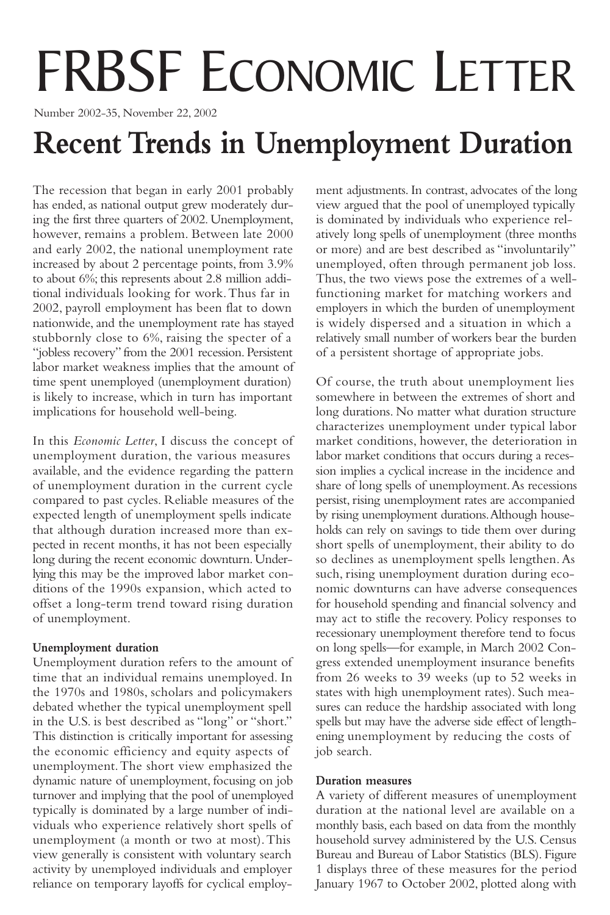# FRBSF ECONOMIC LETTER

Number 2002-35, November 22, 2002

## **Recent Trends in Unemployment Duration**

The recession that began in early 2001 probably has ended, as national output grew moderately during the first three quarters of 2002. Unemployment, however, remains a problem. Between late 2000 and early 2002, the national unemployment rate increased by about 2 percentage points, from 3.9% to about 6%; this represents about 2.8 million additional individuals looking for work.Thus far in 2002, payroll employment has been flat to down nationwide, and the unemployment rate has stayed stubbornly close to 6%, raising the specter of a "jobless recovery" from the 2001 recession. Persistent labor market weakness implies that the amount of time spent unemployed (unemployment duration) is likely to increase, which in turn has important implications for household well-being.

In this *Economic Letter*, I discuss the concept of unemployment duration, the various measures available, and the evidence regarding the pattern of unemployment duration in the current cycle compared to past cycles. Reliable measures of the expected length of unemployment spells indicate that although duration increased more than expected in recent months, it has not been especially long during the recent economic downturn. Underlying this may be the improved labor market conditions of the 1990s expansion, which acted to offset a long-term trend toward rising duration of unemployment.

## **Unemployment duration**

Unemployment duration refers to the amount of time that an individual remains unemployed. In the 1970s and 1980s, scholars and policymakers debated whether the typical unemployment spell in the U.S. is best described as "long" or "short." This distinction is critically important for assessing the economic efficiency and equity aspects of unemployment.The short view emphasized the dynamic nature of unemployment, focusing on job turnover and implying that the pool of unemployed typically is dominated by a large number of individuals who experience relatively short spells of unemployment (a month or two at most).This view generally is consistent with voluntary search activity by unemployed individuals and employer reliance on temporary layoffs for cyclical employment adjustments. In contrast, advocates of the long view argued that the pool of unemployed typically is dominated by individuals who experience relatively long spells of unemployment (three months or more) and are best described as "involuntarily" unemployed, often through permanent job loss. Thus, the two views pose the extremes of a wellfunctioning market for matching workers and employers in which the burden of unemployment is widely dispersed and a situation in which a relatively small number of workers bear the burden of a persistent shortage of appropriate jobs.

Of course, the truth about unemployment lies somewhere in between the extremes of short and long durations. No matter what duration structure characterizes unemployment under typical labor market conditions, however, the deterioration in labor market conditions that occurs during a recession implies a cyclical increase in the incidence and share of long spells of unemployment.As recessions persist, rising unemployment rates are accompanied by rising unemployment durations.Although households can rely on savings to tide them over during short spells of unemployment, their ability to do so declines as unemployment spells lengthen. As such, rising unemployment duration during economic downturns can have adverse consequences for household spending and financial solvency and may act to stifle the recovery. Policy responses to recessionary unemployment therefore tend to focus on long spells—for example, in March 2002 Congress extended unemployment insurance benefits from 26 weeks to 39 weeks (up to 52 weeks in states with high unemployment rates). Such measures can reduce the hardship associated with long spells but may have the adverse side effect of lengthening unemployment by reducing the costs of job search.

## **Duration measures**

A variety of different measures of unemployment duration at the national level are available on a monthly basis, each based on data from the monthly household survey administered by the U.S. Census Bureau and Bureau of Labor Statistics (BLS). Figure 1 displays three of these measures for the period January 1967 to October 2002, plotted along with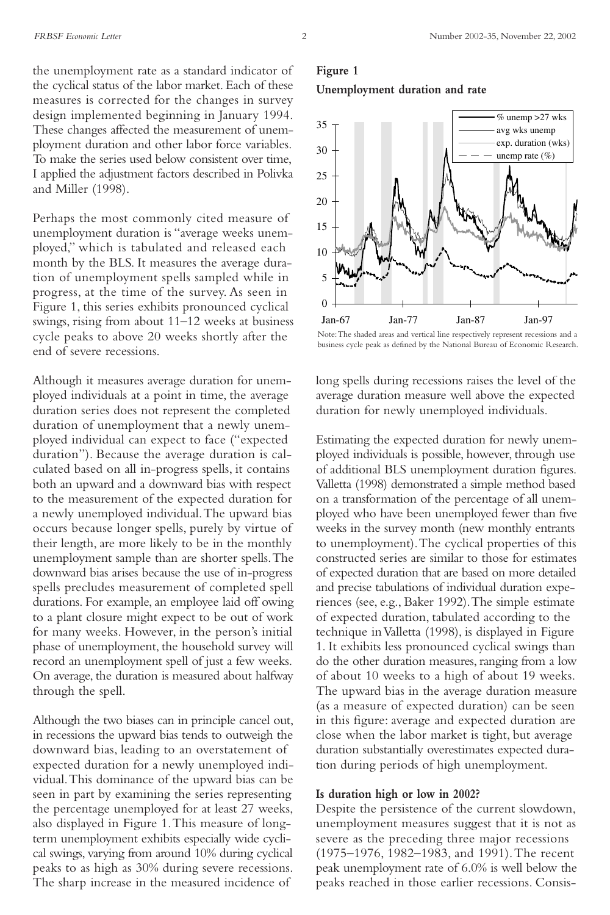the unemployment rate as a standard indicator of the cyclical status of the labor market. Each of these measures is corrected for the changes in survey design implemented beginning in January 1994. These changes affected the measurement of unemployment duration and other labor force variables. To make the series used below consistent over time, I applied the adjustment factors described in Polivka and Miller (1998).

Perhaps the most commonly cited measure of unemployment duration is "average weeks unemployed," which is tabulated and released each month by the BLS. It measures the average duration of unemployment spells sampled while in progress, at the time of the survey. As seen in Figure 1, this series exhibits pronounced cyclical swings, rising from about 11–12 weeks at business cycle peaks to above 20 weeks shortly after the end of severe recessions.

Although it measures average duration for unemployed individuals at a point in time, the average duration series does not represent the completed duration of unemployment that a newly unemployed individual can expect to face ("expected duration"). Because the average duration is calculated based on all in-progress spells, it contains both an upward and a downward bias with respect to the measurement of the expected duration for a newly unemployed individual.The upward bias occurs because longer spells, purely by virtue of their length, are more likely to be in the monthly unemployment sample than are shorter spells.The downward bias arises because the use of in-progress spells precludes measurement of completed spell durations. For example, an employee laid off owing to a plant closure might expect to be out of work for many weeks. However, in the person's initial phase of unemployment, the household survey will record an unemployment spell of just a few weeks. On average, the duration is measured about halfway through the spell.

Although the two biases can in principle cancel out, in recessions the upward bias tends to outweigh the downward bias, leading to an overstatement of expected duration for a newly unemployed individual.This dominance of the upward bias can be seen in part by examining the series representing the percentage unemployed for at least 27 weeks, also displayed in Figure 1.This measure of longterm unemployment exhibits especially wide cyclical swings, varying from around 10% during cyclical peaks to as high as 30% during severe recessions. The sharp increase in the measured incidence of

## **Figure 1: Unemployment Duration and Rate Unemployment duration and rate Figure 1**



Note: The shaded areas and vertical line respectively represent recessions and a business cycle peak as defined by the National Bureau of Economic Research.

long spells during recessions raises the level of the average duration measure well above the expected duration for newly unemployed individuals.

Estimating the expected duration for newly unemployed individuals is possible, however, through use of additional BLS unemployment duration figures. Valletta (1998) demonstrated a simple method based on a transformation of the percentage of all unemployed who have been unemployed fewer than five weeks in the survey month (new monthly entrants to unemployment).The cyclical properties of this constructed series are similar to those for estimates of expected duration that are based on more detailed and precise tabulations of individual duration experiences (see, e.g., Baker 1992).The simple estimate of expected duration, tabulated according to the technique in Valletta (1998), is displayed in Figure 1. It exhibits less pronounced cyclical swings than do the other duration measures, ranging from a low of about 10 weeks to a high of about 19 weeks. The upward bias in the average duration measure (as a measure of expected duration) can be seen in this figure: average and expected duration are close when the labor market is tight, but average duration substantially overestimates expected duration during periods of high unemployment.

#### **Is duration high or low in 2002?**

Despite the persistence of the current slowdown, unemployment measures suggest that it is not as severe as the preceding three major recessions (1975–1976, 1982–1983, and 1991).The recent peak unemployment rate of 6.0% is well below the peaks reached in those earlier recessions. Consis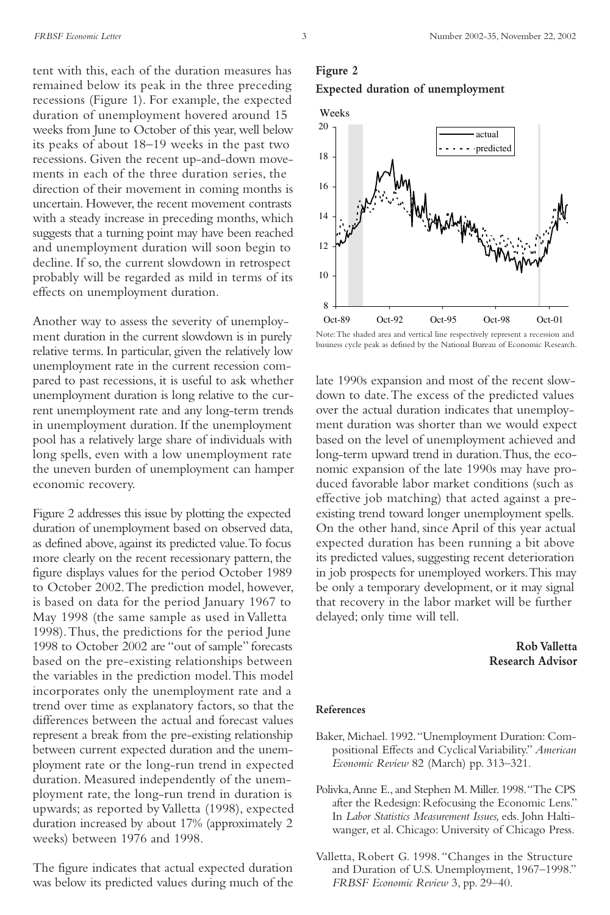tent with this, each of the duration measures has remained below its peak in the three preceding recessions (Figure 1). For example, the expected duration of unemployment hovered around 15 weeks from June to October of this year, well below its peaks of about 18–19 weeks in the past two recessions. Given the recent up-and-down movements in each of the three duration series, the direction of their movement in coming months is uncertain. However, the recent movement contrasts with a steady increase in preceding months, which suggests that a turning point may have been reached and unemployment duration will soon begin to decline. If so, the current slowdown in retrospect probably will be regarded as mild in terms of its effects on unemployment duration.

Another way to assess the severity of unemployment duration in the current slowdown is in purely relative terms. In particular, given the relatively low unemployment rate in the current recession compared to past recessions, it is useful to ask whether unemployment duration is long relative to the current unemployment rate and any long-term trends in unemployment duration. If the unemployment pool has a relatively large share of individuals with long spells, even with a low unemployment rate the uneven burden of unemployment can hamper economic recovery.

Figure 2 addresses this issue by plotting the expected duration of unemployment based on observed data, as defined above, against its predicted value.To focus more clearly on the recent recessionary pattern, the figure displays values for the period October 1989 to October 2002.The prediction model, however, is based on data for the period January 1967 to May 1998 (the same sample as used in Valletta 1998).Thus, the predictions for the period June 1998 to October 2002 are "out of sample" forecasts based on the pre-existing relationships between the variables in the prediction model.This model incorporates only the unemployment rate and a trend over time as explanatory factors, so that the differences between the actual and forecast values represent a break from the pre-existing relationship between current expected duration and the unemployment rate or the long-run trend in expected duration. Measured independently of the unemployment rate, the long-run trend in duration is upwards; as reported by Valletta (1998), expected duration increased by about 17% (approximately 2 weeks) between 1976 and 1998.

The figure indicates that actual expected duration was below its predicted values during much of the

## **Figure 2**





Note: The shaded area and vertical line respectively represent a recession and business cycle peak as defined by the National Bureau of Economic Research.

late 1990s expansion and most of the recent slowdown to date.The excess of the predicted values over the actual duration indicates that unemployment duration was shorter than we would expect based on the level of unemployment achieved and long-term upward trend in duration.Thus, the economic expansion of the late 1990s may have produced favorable labor market conditions (such as effective job matching) that acted against a preexisting trend toward longer unemployment spells. On the other hand, since April of this year actual expected duration has been running a bit above its predicted values, suggesting recent deterioration in job prospects for unemployed workers.This may be only a temporary development, or it may signal that recovery in the labor market will be further delayed; only time will tell.

> **Rob Valletta Research Advisor**

#### **References**

- Baker, Michael. 1992."Unemployment Duration: Compositional Effects and Cyclical Variability." *American Economic Review* 82 (March) pp. 313–321.
- Polivka,Anne E., and Stephen M. Miller. 1998."The CPS after the Redesign: Refocusing the Economic Lens." In *Labor Statistics Measurement Issues,* eds. John Haltiwanger, et al. Chicago: University of Chicago Press.
- Valletta, Robert G. 1998."Changes in the Structure and Duration of U.S. Unemployment, 1967–1998." *FRBSF Economic Review* 3, pp. 29–40.